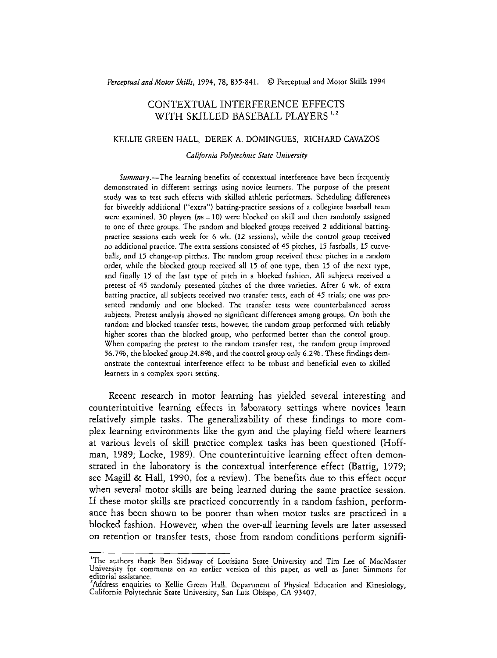# CONTEXTUAL INTERFERENCE EFFECTS WITH SKILLED BASEBALL PLAYERS ".2

### KELLIE GREEN HALL, DEREK A. DOMINGUES, RICHARD CAVAZOS

#### California Polytechnic Skate University

 $Summary.$ -The learning benefits of contextual interference have been frequently demonstrated in different settings using novice learners. The purpose of the present study was to test such effects with skilled athletic performers. Scheduling differences for biweekly additional ("extra") batting-practice sessions of a collegiate baseball team were examined. 30 players ( $ns = 10$ ) were blocked on skill and then randomly assigned to one of three groups. The random and blocked groups received 2 additional battingpractice sessions each week for 6 wk. (12 sessions), while the control group received no additional practice. The extra sessions consisted of 45 pitches, 15 fastballs, 15 curveballs, and 15 change-up pitches. The random group received these pitches in a random order, while the blocked group received all 15 of one type, then 15 of the next type, and finally 15 of the last type of pitch in a blocked fashion. All subjects received a pretest of 45 randomly presented pitches of the three varieties. After 6 wk. of extra batting practice, all subjects received two transfer tests, each of 45 trials; one was presented randomly and one blocked. The transfer tests were counterbalanced across subjects. Pretest analysis showed no significant differences among groups. On both the random and blocked transfer tests, however, the random group performed with reliably higher scores than the blocked group, who performed better than the control group. When comparing the pretest to the random transfer test, the random group improved 56.7%, the blocked group 24.8%, and the control group only 6.2%. These findings demonstrate the contextual interference effect to be robust and beneficial even to skilled learners in a complex sport setting.

Recent research in motor learning has yielded several interesting and counterintuitive learning effects in laboratory settings where novices learn relatively simple tasks. The generalizability of these findings to more complex learning environments like the gym and the playing field where learners at various levels of skill practice complex tasks has been questioned (Hoffman, 1989; Locke, 1989). One counterintuitive learning effect often demonstrated in the laboratory is the contextual interference effect (Battig, 1979; see Magill & Hall, 1990, for a review). The benefits due to this effect occur when several motor skills are being learned during the same practice session. If these motor skills are practiced concurrently in a random fashion, performance has been shown to be poorer than when motor tasks are practiced in a blocked fashion. However, when the over-all learning levels are later assessed on retention or transfer tests, those from random conditions perform signifi-

<sup>&#</sup>x27;The authors thank Ben Sidaway of Louisiana State University and Tim Lee of MacMaster University for comments on an earlier version of this paper, as well as Janet Simmons for editorial assistance.

Address enquiries to Kellie Green Hall, Department of Physical Education and Kinesiology, California Polytechnic State University, San Luis Obispo, CA 93407.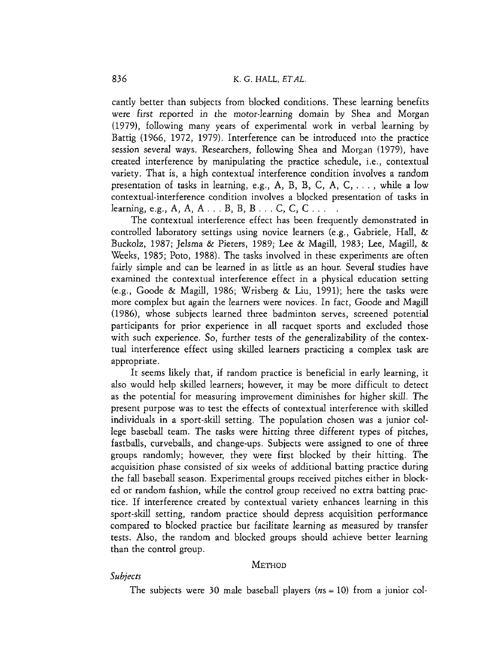cantly better than subjects from blocked conditions. These learning benefits were first reported in the motor-learning domain by Shea and Morgan (1979), following many years of experimental work in verbal learning by Battig (1966, 1972, 1979). Interference can be introduced Into the practice session several ways. Researchers, following Shea and Morgan (1979), have created interference by manipulating the practice schedule, i.e., contextual variety. That is, a high contextual interference condition involves a random presentation of tasks in learning, e.g., A, B, B, C, **A,** C, . . . , while a low contextual-interference condition involves a blocked presentation of tasks in learning, e.g., A, A, A. $\ldots$  B, B, B. $\ldots$  C, C, C...

The contextual interference effect has been frequently demonstrated in controlled laboratory settings using novice learners (e.g., Gabriele, Hall, & Buckolz, 1987; Jelsma & Pieters, 1789; Lee & Magill, 1983; Lee, Magill, & Weeks, 1985; Poto, 1988). The tasks involved in these experiments are often fairly simple and can be learned in as little as an hour. Several studies have examined the contextual interference effect in a physical education setting (e.g., Goode & Magill, 1786; Wrisberg & Liu, 1991); here the tasks were more complex but again the learners were novices. In fact, Goode and Magill (1786), whose subjects learned three badminton serves, screened potential participants for prior experience in all racquet sports and excluded those with such experience. So, further tests of the generalizability of the contextual interference effect using skilled learners practicing a complex task are appropriate.

It seems likely that, if random practice is beneficial in early learning, it also would help skilled learners; however, it may be more difficult to detect as the potential for measuring improvement diminishes for higher skdl. The present purpose was to test the effects of contextual interference with skilled individuals in a sport-skill setting. The population chosen was a junior college baseball team. The tasks were hitting three different types of pitches, fastballs, curveballs, and change-ups. Subjects were assigned to one of three groups randomly; however, they were first blocked by their hitting. The acquisition phase consisted of six weeks of additional batting practice during the fall baseball season. Experimental groups received pitches either in blocked or random fashion, while the control group received no extra batting practice. If interference created by contextual variety enhances learning in this sport-skdl setting, random practice should depress acquisition performance compared to blocked practice but facilitate learning as measured by transfer tests. Also, the random and blocked groups should acheve better learning than the control group.

# METHOD

### *Subjects*

The subjects were 30 male baseball players ( $ns = 10$ ) from a junior col-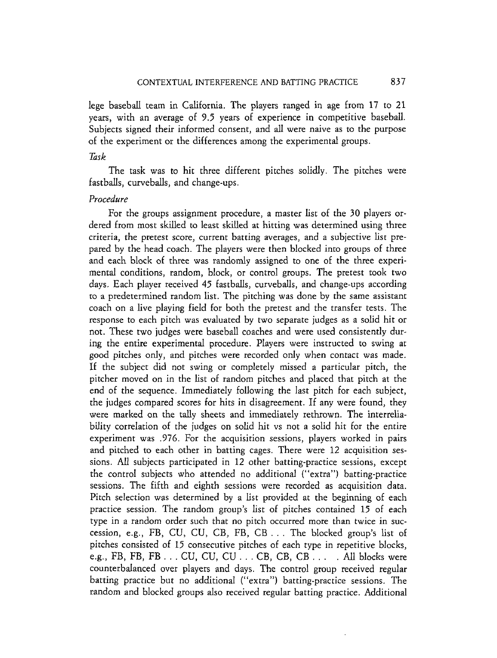lege baseball team in California. The players ranged in age from 17 to 21 years, with an average of 9.5 years of experience in competitive baseball. Subjects signed their informed consent, and all were naive as to the purpose of the experiment or the differences among the experimental groups.

# *Task*

The task was to hit three different pitches solidly. The pitches were fastballs, curveballs, and change-ups.

# Procedure

For the groups assignment procedure, a master list of the 30 players ordered from most skilled to least skilled at hitting was determined using three criteria, the pretest score, current batting averages, and a subjective list prepared by the head coach. The players were then blocked into groups of three and each block of three was randomly assigned to one of the three experimental conditions, random, block, or control groups. The pretest took two days. Each player received 45 fastballs, curveballs, and change-ups according to a predetermined random list. The pitching was done by the same assistant coach on a live playing field for both the pretest and the transfer tests. The response to each pitch was evaluated by two separate judges as a solid hit or not. These two judges were baseball coaches and were used consistently during the entire experimental procedure. Players were instructed to swing at good pitches only, and pitches were recorded only when contact was made. If the subject did not swing or completely missed a particular pitch, the pitcher moved on in the list of random pitches and placed that pitch at the end of the sequence. Immediately following the last pitch for each subject, the judges compared scores for hits in disagreement. If any were found, they were marked on the tally sheets and immediately rethrown. The interreliability correlation of the judges on solid hit vs not a solid hit for the entire experiment was **.976.** For the acquisition sessions, players worked in pairs and pitched to each other in batting cages. There were 12 acquisition sessions. All subjects participated in 12 other batting-practice sessions, except the control subjects who attended no additional ("extra") batting-practice sessions. The fifth and eighth sessions were recorded as acquisition data. Pitch selection was determined by a list provided at the beginning of each practice session. The random group's list of pitches contained 15 of each type in a random order such that no pitch occurred more than twice in succession, e.g., FB, CU, CU, CB, FB, CB . . . The blocked group's list of pitches consisted of 15 consecutive pitches of each type in repetitive blocks, e.g., FB, FB, FB . . . CU, CU, CU . . . CB, CB, CB . . . . . All blocks were counterbalanced over players and days. The control group received regular batting practice but no additional ("extra") batting-practice sessions. The random and blocked groups also received regular batting practice. Additional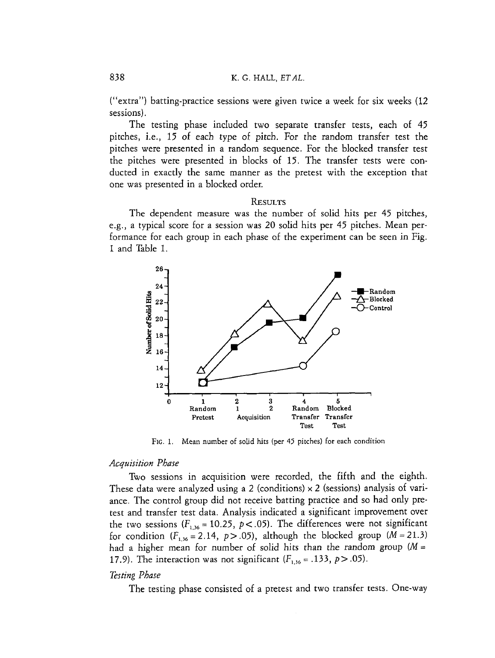("extra") batting-practice sessions were given twice a week for six weeks (12 sessions).

The testing phase included two separate transfer tests, each of 45 pitches, i.e., 15 of each type of pitch. For the random transfer test the pitches were presented in a random sequence. For the blocked transfer test the pitches were presented in blocks of 15. The transfer tests were conducted in exactly the same manner as the pretest with the exception that one was presented in a blocked order.

### **RESULTS**

The dependent measure was the number of solid hits per 45 pitches, e.g., a typical score for a session was 20 solid hits per 45 pitches. Mean performance for each group in each phase of the experiment can be seen in Fig. I and Table 1.



FIG. 1. Mean number of solid hits (per 45 pitches) for each condition

#### *Acqtrisition Phase*

Two sessions in acquisition were recorded, the fifth and the eighth. These data were analyzed using a 2 (conditions)  $\times$  2 (sessions) analysis of variance. The control group did not receive batting practice and so had only pretest and transfer test data. Analysis indicated a significant improvement over the two sessions  $(F_{1,36} = 10.25, p < .05)$ . The differences were not significant for condition  $(F_{1,16} = 2.14, p > .05)$ , although the blocked group  $(M = 21.3)$ had a higher mean for number of solid hits than the random group  $(M =$ 17.9). The interaction was not significant  $(F_{1,36} = .133, p > .05)$ .

#### *Testing Phase*

The testing phase consisted of a pretest and two transfer tests. One-way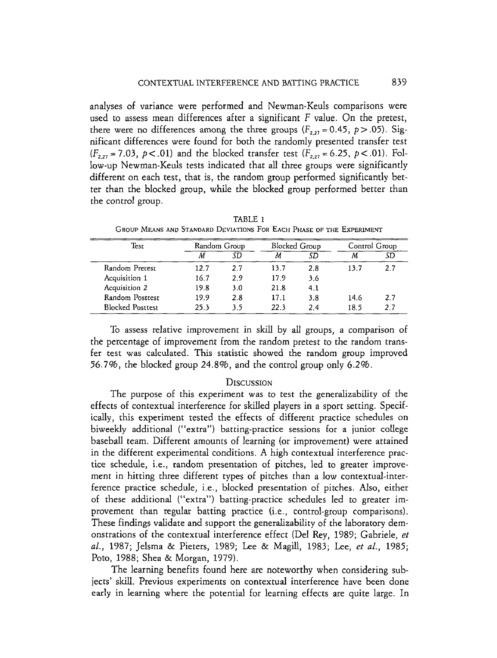analyses of variance were performed and Newman-Keuls comparisons were used to assess mean differences after a significant *F* value. On the pretest, there were no differences among the three groups  $(F_{2,27} = 0.45, p > .05)$ . Significant differences were found for both the randomly presented transfer test  $(F_{2,27} = 7.03, p < .01)$  and the blocked transfer test  $(F_{2,27} = 6.25, p < .01)$ . Follow-up Newman-Keuls tests indicated that all three groups were significantly different on each test, that is, the random group performed significantly better than the blocked group, while the blocked group performed better than the control group.

| Test                    | Random Group |     | <b>Blocked Group</b> |     | Control Group |     |
|-------------------------|--------------|-----|----------------------|-----|---------------|-----|
|                         | М            | SD  | м                    | ٢D  | м             | SD  |
| Random Pretest          | 12.7         | 2.7 | 13.7                 | 2.8 | 13.7          | 2.7 |
| Acquisition 1           | 16.7         | 2.9 | 17.9                 | 3.6 |               |     |
| Acquisition 2           | 19.8         | 3.0 | 21.8                 | 4.1 |               |     |
| Random Posttest         | 19.9         | 2.8 | 17.1                 | 3.8 | 14.6          | 2.7 |
| <b>Blocked Posttest</b> | 25.3         | 35  | 22.3                 | 24  | 18.5          | 2.7 |

TABLE 1 GROUP MEANS AND STANDARD DEVIATIONS FOR EACH PHASE OF THE EXPERIMENT

To assess relative improvement in skill by **all** groups, a comparison of the percentage of improvement from the random pretest to the random transfer test was calculated. This statistic showed the random group improved 56.7%, the blocked group 24.8%, and the control group only 6.2%.

### **DISCUSSION**

The purpose of this experiment was to test the generalizability of the effects of contextual interference for skilled players in a sport setting. Specifically, this experiment tested the effects of different practice schedules on biweekly additional ("extra") batting-practice sessions for a junior college baseball team. Different amounts of learning (or improvement) were attained in the different experimental conditions. **A** high contextual interference practice schedule, i.e., random presentation of pitches, led to greater improvement in hitting three different types of pitches than a low contextual-interference practice schedule, i.e., blocked presentation of pitches. Also, either of these additional ("extra") batting-practice schedules led to greater improvement than regular batting practice (i.e., control-group comparisons). These findings validate and support the generalizability of the laboratory demonstrations of the contextual interference effect (Del Rey, 1989; Gabriele, et al., 1987; Jelsma & Pieters, 1989; Lee & Magill, 1983; Lee, *et* al., 1985; Poto, 1988; Shea & Morgan, 1979).

The learning benefits found here are noteworthy when considering subjects' skill. Previous experiments on contextual interference have been done early in learning where the potential for learning effects are quite large. In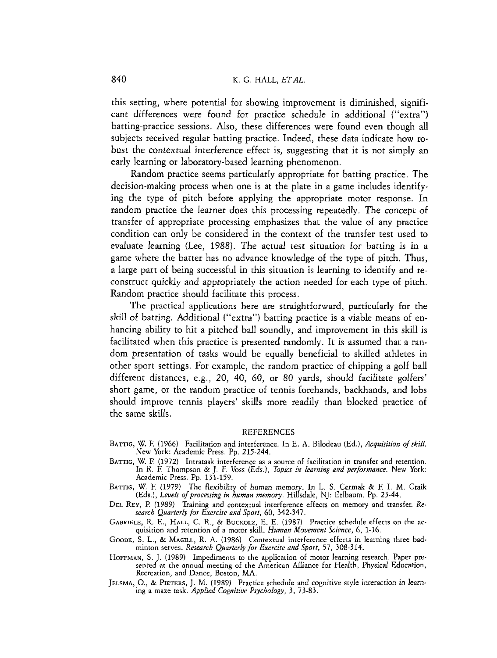this setting, where potential for showing improvement is diminished, significant differences were found for practice schedule in additional ("extra") batting-practice sessions. Also, these differences were found even though all subjects received regular batting practice. Indeed, these data indicate how robust the contextual interference effect is, suggesting that it is not simply an early learning or laboratory-based learning phenomenon.

Random practice seems particularIy appropriate for batting practice. The decision-making process when one is at the plate in a game includes identifying the type of pitch before applying the appropriate motor response. In random practice the learner does this processing repeatedly. The concept of transfer of appropriate processing emphasizes that the value of any practice condition can only be considered in the context of the transfer test used to evaluate learning (Lee, 1988). The actual test situation for batting is in a game where the batter has no advance knowledge of the type of pitch. Thus, a large part of being successful in this situation is learning to identify and reconstruct quickly and appropriately the action needed for each type of pitch. Random practice should facilitate this process.

The practical applications here are straightforward, particularly for the skill of batting. Additional ("extra") batting practice is a viable means of enhancing ability to hit a pitched ball soundly, and improvement in this skill is facilitated when this practice is presented randomly. It is assumed that a random presentation of tasks would be equally beneficial to skilled athletes in other sport settings. For example, the random practice of chipping a golf ball different distances, e.g., 20, 40, 60, or 80 yards, should facilitate golfers' short game, or the random practice of tennis forehands, backhands, and lobs should improve tennis players' skills more readily than blocked practice of the same skills.

### REFERENCES

- BATTIG, W. F. (1966) Facilitation and interference. In E. A. Bilodeau (Ed.), *Acquisition of skill.* New York: Academic Press. Pp. 215-244.
- BATTIG, W. F. (1972) Intratask interference as a source of facilitation in transfer and retention.<br>In R. F. Thompson & J. F. Voss (Eds.), *Topics in learning and performance*. New York:<br>Academic Press. Pp. 131-159.
- BATTIG, W. F. (1979) The flexibility of human memory. In L. S. Cermak & F. I. M. Craik (Eds.), *Levels of processing in human memory.* Hillsdale, NJ: Erlbaum. Pp. 23-44.
- DEL **REY, I?** (1989) Training and contextual interference effects on memory and transfer. *Research Quarterly for Exercise and Sport,* 60, 342-347.
- GABRIELE, R. E., HALL, C. R., & BUCKOLZ, E. E. (1987) Practice schedule effects on the acquisition and retention of a motor skill. *Human Movement Science,* 6, 1-16.
- GOODE, S. L., & **MAGILL,** R. A. (1986) Contextual interference effects in learning three bad-minton serves. *Research Quarterly for Exercise and Sport,* 57, 308-314.
- HOFFMAN, S. J. (1989) Impediments to the application of motor learning research. Paper presented at the annual meeting of the American Alliance for Health, Physical Education, Recreation, and Dance, Boston, MA.
- JELSMA, O., & PETERS, J. M. (1989) Practice schedule and cognitive style interaction in learning a maze task. *Applied Cognitive Psychology,* 3, 73-83.